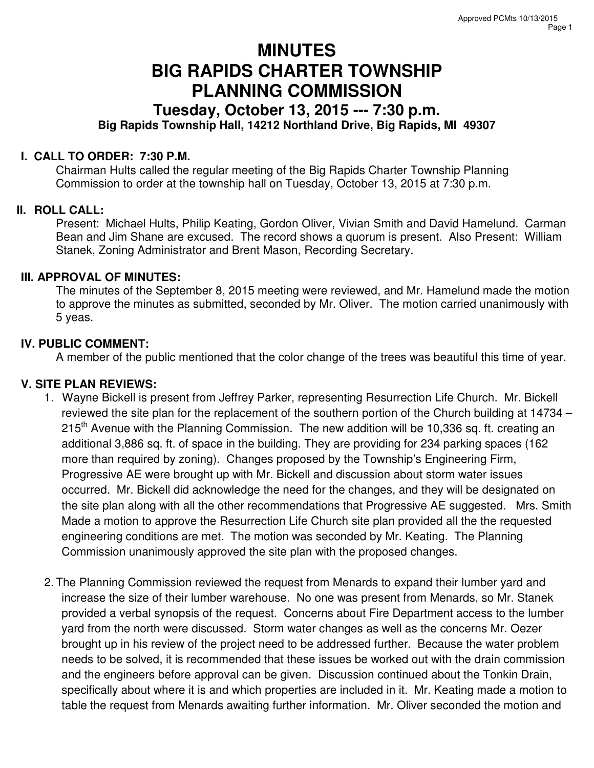# **MINUTES BIG RAPIDS CHARTER TOWNSHIP PLANNING COMMISSION**

## **Tuesday, October 13, 2015 --- 7:30 p.m. Big Rapids Township Hall, 14212 Northland Drive, Big Rapids, MI 49307**

### **I. CALL TO ORDER: 7:30 P.M.**

Chairman Hults called the regular meeting of the Big Rapids Charter Township Planning Commission to order at the township hall on Tuesday, October 13, 2015 at 7:30 p.m.

### **II. ROLL CALL:**

Present: Michael Hults, Philip Keating, Gordon Oliver, Vivian Smith and David Hamelund. Carman Bean and Jim Shane are excused. The record shows a quorum is present. Also Present: William Stanek, Zoning Administrator and Brent Mason, Recording Secretary.

#### **III. APPROVAL OF MINUTES:**

The minutes of the September 8, 2015 meeting were reviewed, and Mr. Hamelund made the motion to approve the minutes as submitted, seconded by Mr. Oliver. The motion carried unanimously with 5 yeas.

### **IV. PUBLIC COMMENT:**

A member of the public mentioned that the color change of the trees was beautiful this time of year.

### **V. SITE PLAN REVIEWS:**

- 1. Wayne Bickell is present from Jeffrey Parker, representing Resurrection Life Church. Mr. Bickell reviewed the site plan for the replacement of the southern portion of the Church building at 14734 –  $215<sup>th</sup>$  Avenue with the Planning Commission. The new addition will be 10,336 sq. ft. creating an additional 3,886 sq. ft. of space in the building. They are providing for 234 parking spaces (162 more than required by zoning). Changes proposed by the Township's Engineering Firm, Progressive AE were brought up with Mr. Bickell and discussion about storm water issues occurred. Mr. Bickell did acknowledge the need for the changes, and they will be designated on the site plan along with all the other recommendations that Progressive AE suggested. Mrs. Smith Made a motion to approve the Resurrection Life Church site plan provided all the the requested engineering conditions are met. The motion was seconded by Mr. Keating. The Planning Commission unanimously approved the site plan with the proposed changes.
- 2. The Planning Commission reviewed the request from Menards to expand their lumber yard and increase the size of their lumber warehouse. No one was present from Menards, so Mr. Stanek provided a verbal synopsis of the request. Concerns about Fire Department access to the lumber yard from the north were discussed. Storm water changes as well as the concerns Mr. Oezer brought up in his review of the project need to be addressed further. Because the water problem needs to be solved, it is recommended that these issues be worked out with the drain commission and the engineers before approval can be given. Discussion continued about the Tonkin Drain, specifically about where it is and which properties are included in it. Mr. Keating made a motion to table the request from Menards awaiting further information. Mr. Oliver seconded the motion and